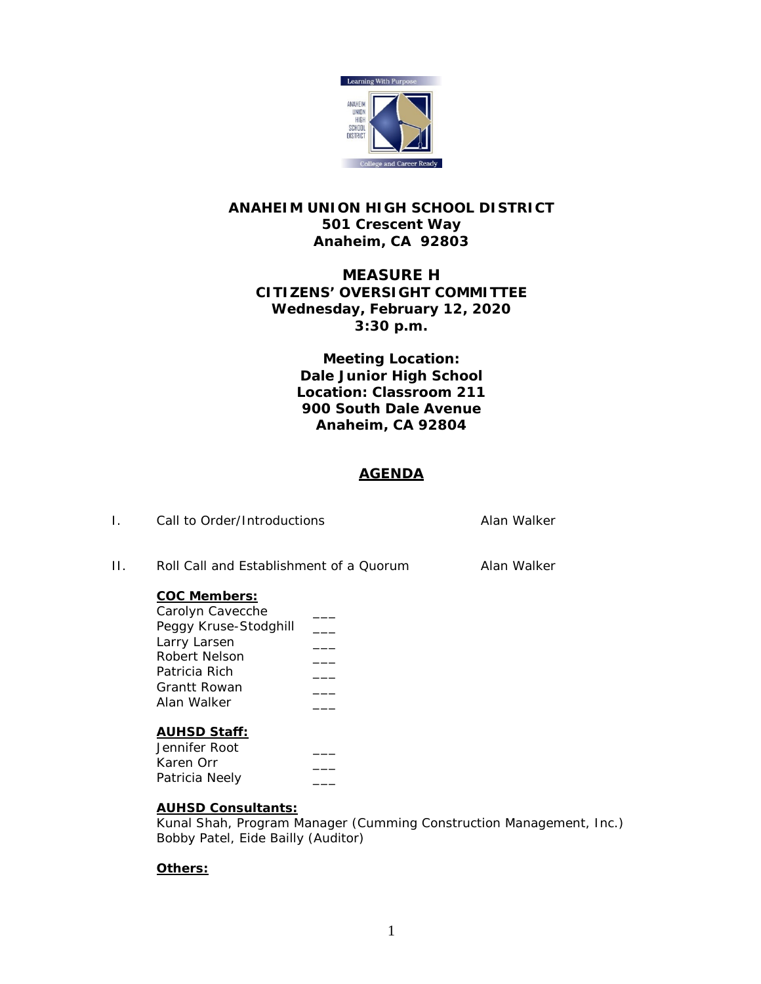

## **ANAHEIM UNION HIGH SCHOOL DISTRICT 501 Crescent Way Anaheim, CA 92803**

# **MEASURE H CITIZENS' OVERSIGHT COMMITTEE Wednesday, February 12, 2020 3:30 p.m.**

**Meeting Location: Dale Junior High School Location: Classroom 211 900 South Dale Avenue Anaheim, CA 92804**

### **AGENDA**

| $\mathsf{L}$ | Call to Order/Introductions                                                                                                                       |  | Alan Walker |
|--------------|---------------------------------------------------------------------------------------------------------------------------------------------------|--|-------------|
| Н.           | Roll Call and Establishment of a Quorum                                                                                                           |  | Alan Walker |
|              | <b>COC Members:</b><br>Carolyn Cavecche<br>Peggy Kruse-Stodghill<br>Larry Larsen<br>Robert Nelson<br>Patricia Rich<br>Grantt Rowan<br>Alan Walker |  |             |
|              | <b>AUHSD Staff:</b><br>Jennifer Root<br>Karen Orr                                                                                                 |  |             |

### **AUHSD Consultants:**

Kunal Shah, Program Manager (Cumming Construction Management, Inc.) Bobby Patel, Eide Bailly (Auditor)

### **Others:**

Patricia Neely